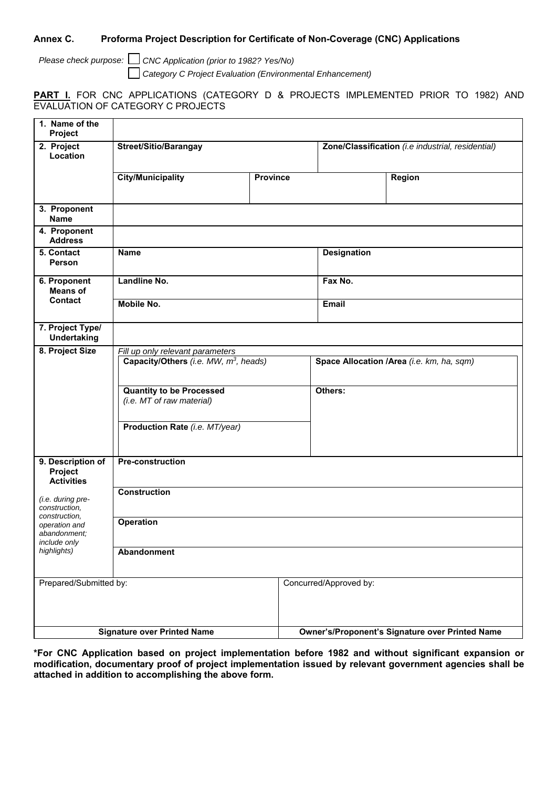## **Annex C. Proforma Project Description for Certificate of Non-Coverage (CNC) Applications**

*Please check purpose:* ☐ *CNC Application (prior to 1982? Yes/No)* ☐ *Category C Project Evaluation (Environmental Enhancement)*

## **PART I.** FOR CNC APPLICATIONS (CATEGORY D & PROJECTS IMPLEMENTED PRIOR TO 1982) AND EVALUATION OF CATEGORY C PROJECTS

| 1. Name of the<br>Project                                                                                           |                                                                                       |                 |                                                        |
|---------------------------------------------------------------------------------------------------------------------|---------------------------------------------------------------------------------------|-----------------|--------------------------------------------------------|
| 2. Project<br>Location                                                                                              | <b>Street/Sitio/Barangay</b>                                                          |                 | Zone/Classification (i.e industrial, residential)      |
|                                                                                                                     | <b>City/Municipality</b>                                                              | <b>Province</b> | Region                                                 |
| 3. Proponent<br><b>Name</b>                                                                                         |                                                                                       |                 |                                                        |
| 4. Proponent<br><b>Address</b>                                                                                      |                                                                                       |                 |                                                        |
| 5. Contact<br>Person                                                                                                | <b>Name</b>                                                                           |                 | <b>Designation</b>                                     |
| 6. Proponent<br><b>Means of</b>                                                                                     | Landline No.                                                                          |                 | Fax No.                                                |
| Contact                                                                                                             | Mobile No.                                                                            |                 | Email                                                  |
| 7. Project Type/<br><b>Undertaking</b>                                                                              |                                                                                       |                 |                                                        |
| 8. Project Size                                                                                                     | Fill up only relevant parameters<br>Capacity/Others (i.e. MW, m <sup>3</sup> , heads) |                 | Space Allocation /Area (i.e. km, ha, sqm)              |
|                                                                                                                     | <b>Quantity to be Processed</b><br>(i.e. MT of raw material)                          |                 | Others:                                                |
|                                                                                                                     | Production Rate (i.e. MT/year)                                                        |                 |                                                        |
| 9. Description of<br>Project<br><b>Activities</b>                                                                   | <b>Pre-construction</b>                                                               |                 |                                                        |
| (i.e. during pre-<br>construction,<br>construction,<br>operation and<br>abandonment;<br>include only<br>highlights) | <b>Construction</b>                                                                   |                 |                                                        |
|                                                                                                                     | Operation                                                                             |                 |                                                        |
|                                                                                                                     | Abandonment                                                                           |                 |                                                        |
| Prepared/Submitted by:                                                                                              |                                                                                       |                 | Concurred/Approved by:                                 |
| <b>Signature over Printed Name</b>                                                                                  |                                                                                       |                 | <b>Owner's/Proponent's Signature over Printed Name</b> |

**\*For CNC Application based on project implementation before 1982 and without significant expansion or modification, documentary proof of project implementation issued by relevant government agencies shall be attached in addition to accomplishing the above form.**